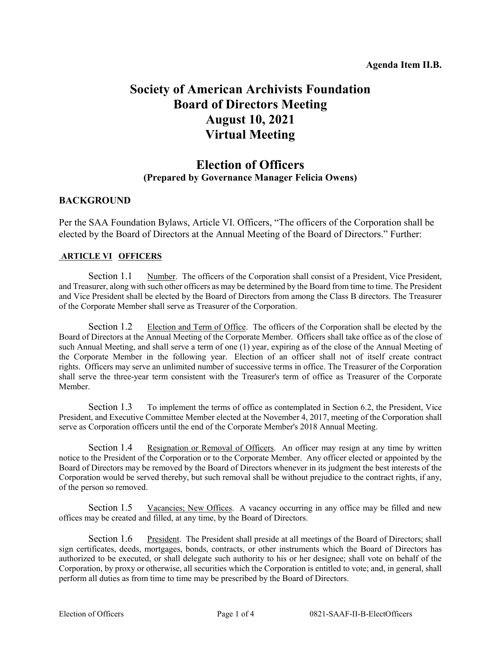# **Society of American Archivists Foundation Board of Directors Meeting August 10, 2021 Virtual Meeting**

# **Election of Officers (Prepared by Governance Manager Felicia Owens)**

# **BACKGROUND**

Per the SAA Foundation Bylaws, Article VI. Officers, "The officers of the Corporation shall be elected by the Board of Directors at the Annual Meeting of the Board of Directors." Further:

#### **ARTICLE VI OFFICERS**

Section 1.1 Number. The officers of the Corporation shall consist of a President, Vice President, and Treasurer, along with such other officers as may be determined by the Board from time to time. The President and Vice President shall be elected by the Board of Directors from among the Class B directors. The Treasurer of the Corporate Member shall serve as Treasurer of the Corporation.

Section 1.2 Election and Term of Office. The officers of the Corporation shall be elected by the Board of Directors at the Annual Meeting of the Corporate Member. Officers shall take office as of the close of such Annual Meeting, and shall serve a term of one (1) year, expiring as of the close of the Annual Meeting of the Corporate Member in the following year. Election of an officer shall not of itself create contract rights. Officers may serve an unlimited number of successive terms in office. The Treasurer of the Corporation shall serve the three-year term consistent with the Treasurer's term of office as Treasurer of the Corporate Member.

Section 1.3 To implement the terms of office as contemplated in Section 6.2, the President, Vice President, and Executive Committee Member elected at the November 4, 2017, meeting of the Corporation shall serve as Corporation officers until the end of the Corporate Member's 2018 Annual Meeting.

Section 1.4 Resignation or Removal of Officers. An officer may resign at any time by written notice to the President of the Corporation or to the Corporate Member. Any officer elected or appointed by the Board of Directors may be removed by the Board of Directors whenever in its judgment the best interests of the Corporation would be served thereby, but such removal shall be without prejudice to the contract rights, if any, of the person so removed.

Section 1.5 Vacancies; New Offices. A vacancy occurring in any office may be filled and new offices may be created and filled, at any time, by the Board of Directors.

Section 1.6 President. The President shall preside at all meetings of the Board of Directors; shall sign certificates, deeds, mortgages, bonds, contracts, or other instruments which the Board of Directors has authorized to be executed, or shall delegate such authority to his or her designee; shall vote on behalf of the Corporation, by proxy or otherwise, all securities which the Corporation is entitled to vote; and, in general, shall perform all duties as from time to time may be prescribed by the Board of Directors.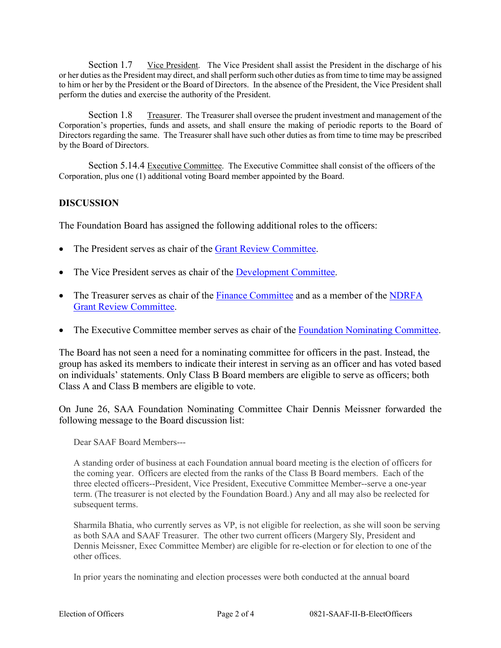Section 1.7 Vice President. The Vice President shall assist the President in the discharge of his or her duties as the President may direct, and shall perform such other duties as from time to time may be assigned to him or her by the President or the Board of Directors. In the absence of the President, the Vice President shall perform the duties and exercise the authority of the President.

Section 1.8 Treasurer. The Treasurer shall oversee the prudent investment and management of the Corporation's properties, funds and assets, and shall ensure the making of periodic reports to the Board of Directors regarding the same. The Treasurer shall have such other duties as from time to time may be prescribed by the Board of Directors.

Section 5.14.4 Executive Committee. The Executive Committee shall consist of the officers of the Corporation, plus one (1) additional voting Board member appointed by the Board.

#### **DISCUSSION**

The Foundation Board has assigned the following additional roles to the officers:

- The President serves as chair of the [Grant Review Committee.](http://www2.archivists.org/groups/saa-foundation-board-of-directors/saa-foundation-grant-review-committee)
- The Vice President serves as chair of the [Development Committee.](https://www2.archivists.org/groups/saa-foundation-board-of-directors/saa-foundation-development-committee)
- The Treasurer serves as chair of the [Finance Committee](https://www2.archivists.org/groups/saa-foundation-board-of-directors/saa-foundation-finance-committee) and as a member of the NDRFA [Grant Review Committee.](https://www2.archivists.org/groups/saa-foundation-board-of-directors/saa-foundation-ndrfa-grant-review-committee)
- The Executive Committee member serves as chair of the [Foundation Nominating Committee.](https://www2.archivists.org/groups/saa-foundation-board-of-directors/saa-foundation-nominating-committee)

The Board has not seen a need for a nominating committee for officers in the past. Instead, the group has asked its members to indicate their interest in serving as an officer and has voted based on individuals' statements. Only Class B Board members are eligible to serve as officers; both Class A and Class B members are eligible to vote.

On June 26, SAA Foundation Nominating Committee Chair Dennis Meissner forwarded the following message to the Board discussion list:

Dear SAAF Board Members---

A standing order of business at each Foundation annual board meeting is the election of officers for the coming year. Officers are elected from the ranks of the Class B Board members. Each of the three elected officers--President, Vice President, Executive Committee Member--serve a one-year term. (The treasurer is not elected by the Foundation Board.) Any and all may also be reelected for subsequent terms.

Sharmila Bhatia, who currently serves as VP, is not eligible for reelection, as she will soon be serving as both SAA and SAAF Treasurer. The other two current officers (Margery Sly, President and Dennis Meissner, Exec Committee Member) are eligible for re-election or for election to one of the other offices.

In prior years the nominating and election processes were both conducted at the annual board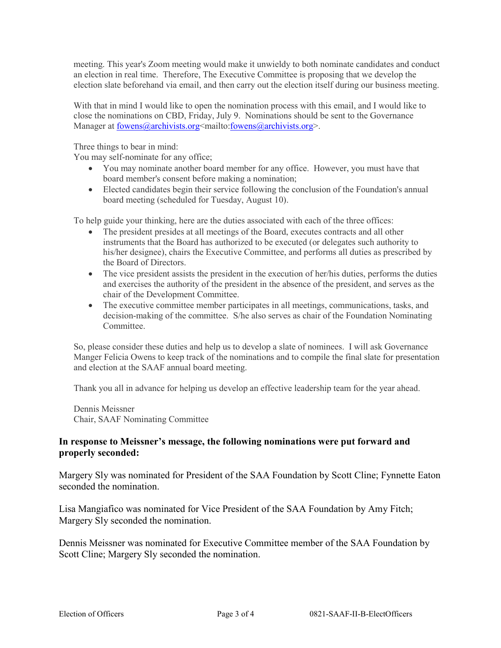meeting. This year's Zoom meeting would make it unwieldy to both nominate candidates and conduct an election in real time. Therefore, The Executive Committee is proposing that we develop the election slate beforehand via email, and then carry out the election itself during our business meeting.

With that in mind I would like to open the nomination process with this email, and I would like to close the nominations on CBD, Friday, July 9. Nominations should be sent to the Governance Manager at [fowens@archivists.org<](mailto:fowens@archivists.org)mailto[:fowens@archivists.org>](mailto:fowens@archivists.org).

Three things to bear in mind:

You may self-nominate for any office;

- You may nominate another board member for any office. However, you must have that board member's consent before making a nomination;
- Elected candidates begin their service following the conclusion of the Foundation's annual board meeting (scheduled for Tuesday, August 10).

To help guide your thinking, here are the duties associated with each of the three offices:

- The president presides at all meetings of the Board, executes contracts and all other instruments that the Board has authorized to be executed (or delegates such authority to his/her designee), chairs the Executive Committee, and performs all duties as prescribed by the Board of Directors.
- The vice president assists the president in the execution of her/his duties, performs the duties and exercises the authority of the president in the absence of the president, and serves as the chair of the Development Committee.
- The executive committee member participates in all meetings, communications, tasks, and decision-making of the committee. S/he also serves as chair of the Foundation Nominating Committee.

So, please consider these duties and help us to develop a slate of nominees. I will ask Governance Manger Felicia Owens to keep track of the nominations and to compile the final slate for presentation and election at the SAAF annual board meeting.

Thank you all in advance for helping us develop an effective leadership team for the year ahead.

Dennis Meissner Chair, SAAF Nominating Committee

### **In response to Meissner's message, the following nominations were put forward and properly seconded:**

Margery Sly was nominated for President of the SAA Foundation by Scott Cline; Fynnette Eaton seconded the nomination.

Lisa Mangiafico was nominated for Vice President of the SAA Foundation by Amy Fitch; Margery Sly seconded the nomination.

Dennis Meissner was nominated for Executive Committee member of the SAA Foundation by Scott Cline; Margery Sly seconded the nomination.